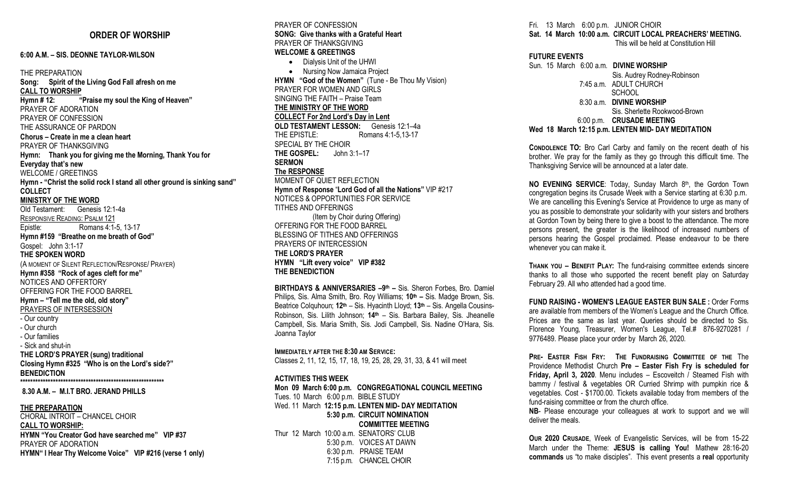## **ORDER OF WORSHIP**

#### **6:00 A.M. – SIS. DEONNE TAYLOR-WILSON**

THE PREPARATION **Song: Spirit of the Living God Fall afresh on me CALL TO WORSHIP Hymn # 12: "Praise my soul the King of Heaven"** PRAYER OF ADORATION PRAYER OF CONFESSION THE ASSURANCE OF PARDON **Chorus – Create in me a clean heart** PRAYER OF THANKSGIVING **Hymn: Thank you for giving me the Morning, Thank You for Everyday that's new** WELCOME / GREETINGS **Hymn - "Christ the solid rock I stand all other ground is sinking sand" COLLECT MINISTRY OF THE WORD** Old Testament: Genesis 12:1-4a RESPONSIVE READING: PSALM 121 Epistle: Romans 4:1-5, 13-17 **Hymn #159 "Breathe on me breath of God"** Gospel: John 3:1-17 **THE SPOKEN WORD**  (A MOMENT OF SILENT REFLECTION/RESPONSE/ PRAYER) **Hymn #358 "Rock of ages cleft for me"** NOTICES AND OFFERTORY OFFERING FOR THE FOOD BARREL **Hymn – "Tell me the old, old story"** PRAYERS OF INTERSESSION - Our country - Our church - Our families - Sick and shut-in **THE LORD'S PRAYER (sung) traditional Closing Hymn #325 "Who is on the Lord's side?" BENEDICTION \*\*\*\*\*\*\*\*\*\*\*\*\*\*\*\*\*\*\*\*\*\*\*\*\*\*\*\*\*\*\*\*\*\*\*\*\*\*\*\*\*\*\*\*\*\*\*\*\*\*\*\*\*\*\*\*\* 8.30 A.M. – M.I.T BRO. JERAND PHILLS**

### **THE PREPARATION**

CHORAL INTROIT – CHANCEL CHOIR **CALL TO WORSHIP: HYMN "You Creator God have searched me" VIP #37** PRAYER OF ADORATION **HYMN" I Hear Thy Welcome Voice" VIP #216 (verse 1 only)** PRAYER OF CONFESSION **SONG: Give thanks with a Grateful Heart** PRAYER OF THANKSGIVING **WELCOME & GREETINGS**

• Dialysis Unit of the UHWI • Nursing Now Jamaica Project **HYMN "God of the Women"** (Tune - Be Thou My Vision) PRAYER FOR WOMEN AND GIRLS SINGING THE FAITH – Praise Team **THE MINISTRY OF THE WORD COLLECT For 2nd Lord's Day in Lent OLD TESTAMENT LESSON:** Genesis 12:1–4a THE EPISTLE: Romans 4:1-5,13-17 SPECIAL BY THE CHOIR **THE GOSPEL:** John 3:1–17 **SERMON The RESPONSE** MOMENT OF QUIET REFLECTION **Hymn of Response** "**Lord God of all the Nations"** VIP #217 NOTICES & OPPORTUNITIES FOR SERVICE TITHES AND OFFERINGS (Item by Choir during Offering) OFFERING FOR THE FOOD BARREL BLESSING OF TITHES AND OFFERINGS PRAYERS OF INTERCESSION **THE LORD'S PRAYER HYMN "Lift every voice" VIP #382**

**THE BENEDICTION**

**BIRTHDAYS & ANNIVERSARIES –9th –** Sis. Sheron Forbes, Bro. Damiel Philips, Sis. Alma Smith, Bro. Roy Williams;  $10<sup>th</sup>$  – Sis. Madge Brown, Sis. Beatrice Colquhoun; **12th** – Sis. Hyacinth Lloyd; **13th** – Sis. Angella Cousins-Robinson, Sis. Lilith Johnson; **14th** – Sis. Barbara Bailey, Sis. Jheanelle Campbell, Sis. Maria Smith, Sis. Jodi Campbell, Sis. Nadine O'Hara, Sis. Joanna Taylor

**IMMEDIATELY AFTER THE 8:30 AM SERVICE:** Classes 2, 11, 12, 15, 17, 18, 19, 25, 28, 29, 31, 33, & 41 will meet

#### **ACTIVITIES THIS WEEK**

**Mon 09 March 6:00 p.m. CONGREGATIONAL COUNCIL MEETING** Tues. 10 March 6:00 p.m. BIBLE STUDY Wed. 11 March **12:15 p.m. LENTEN MID- DAY MEDITATION 5:30 p.m. CIRCUIT NOMINATION COMMITTEE MEETING** Thur 12 March 10:00 a.m. SENATORS' CLUB 5:30 p.m. VOICES AT DAWN 6:30 p.m. PRAISE TEAM 7:15 p.m. CHANCEL CHOIR

Fri. 13 March 6:00 p.m. JUNIOR CHOIR **Sat. 14 March 10:00 a.m. CIRCUIT LOCAL PREACHERS' MEETING.**

This will be held at Constitution Hill

#### **FUTURE EVENTS**

Sun. 15 March 6:00 a.m. **DIVINE WORSHIP** Sis. Audrey Rodney-Robinson 7:45 a.m. ADULT CHURCH **SCHOOL**  8:30 a.m. **DIVINE WORSHIP** Sis. Sherlette Rookwood-Brown 6:00 p.m. **CRUSADE MEETING Wed 18 March 12:15 p.m. LENTEN MID- DAY MEDITATION**

**CONDOLENCE TO:** Bro Carl Carby and family on the recent death of his brother. We pray for the family as they go through this difficult time. The Thanksgiving Service will be announced at a later date.

**NO EVENING SERVICE:** Today, Sunday March 8<sup>th</sup>, the Gordon Town congregation begins its Crusade Week with a Service starting at 6:30 p.m. We are cancelling this Evening's Service at Providence to urge as many of you as possible to demonstrate your solidarity with your sisters and brothers at Gordon Town by being there to give a boost to the attendance. The more persons present, the greater is the likelihood of increased numbers of persons hearing the Gospel proclaimed. Please endeavour to be there whenever you can make it.

**THANK YOU – BENEFIT PLAY:** The fund-raising committee extends sincere thanks to all those who supported the recent benefit play on Saturday February 29. All who attended had a good time.

**FUND RAISING - WOMEN'S LEAGUE EASTER BUN SALE :** Order Forms are available from members of the Women's League and the Church Office. Prices are the same as last year. Queries should be directed to Sis. Florence Young, Treasurer, Women's League, Tel.# 876-9270281 / 9776489. Please place your order by March 26, 2020.

**PRE- EASTER FISH FRY: THE FUNDRAISING COMMITTEE OF THE** The Providence Methodist Church **Pre – Easter Fish Fry is scheduled for Friday, April 3, 2020**. Menu includes – Escoveitch / Steamed Fish with bammy / festival & vegetables OR Curried Shrimp with pumpkin rice & vegetables. Cost - \$1700.00. Tickets available today from members of the fund-raising committee or from the church office.

**NB**- Please encourage your colleagues at work to support and we will deliver the meals.

**OUR 2020 CRUSADE**, Week of Evangelistic Services, will be from 15-22 March under the Theme: **JESUS is calling You!** Mathew 28:16-20 **commands** us "to make disciples". This event presents a **real** opportunity